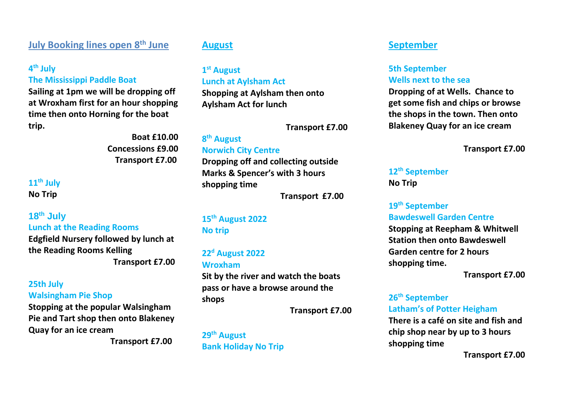## **July Booking lines open 8th June**

#### **4 th July**

**The Mississippi Paddle Boat** 

**Sailing at 1pm we will be dropping off at Wroxham first for an hour shopping time then onto Horning for the boat trip.**

> **Boat £10.00 Concessions £9.00 Transport £7.00**

## **11 th July No Trip**

**18th July Lunch at the Reading Rooms Edgfield Nursery followed by lunch at the Reading Rooms Kelling Transport £7.00**

#### **25th July Walsingham Pie Shop**

**Stopping at the popular Walsingham Pie and Tart shop then onto Blakeney Quay for an ice cream** 

 **Transport £7.00**

#### **August**

## **1 st August Lunch at Aylsham Act**

**Shopping at Aylsham then onto Aylsham Act for lunch** 

 **Transport £7.00**

#### **8 th August Norwich City Centre Dropping off and collecting outside Marks & Spencer's with 3 hours shopping time**

 **Transport £7.00**

### **15th August 2022 No trip**

#### **22 <sup>d</sup> August 2022 Wroxham**

**Sit by the river and watch the boats pass or have a browse around the shops** 

 **Transport £7.00**

**29th August Bank Holiday No Trip**

### **September**

#### **5th September Wells next to the sea**

**Dropping of at Wells. Chance to get some fish and chips or browse the shops in the town. Then onto Blakeney Quay for an ice cream**

**Transport £7.00**

#### **12th September No Trip**

## **19th September Bawdeswell Garden Centre**

**Stopping at Reepham & Whitwell Station then onto Bawdeswell Garden centre for 2 hours shopping time.**

**Transport £7.00**

#### **26 th September Latham's of Potter Heigham**

**There is a café on site and fish and chip shop near by up to 3 hours shopping time** 

**Transport £7.00**